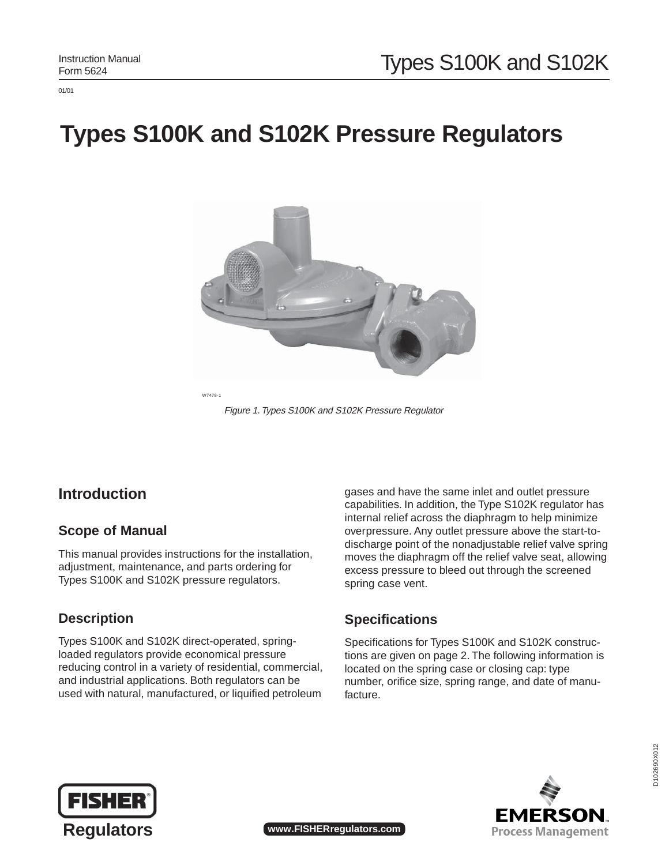01/01

# **Types S100K and S102K Pressure Regulators**



W7478-1

Figure 1. Types S100K and S102K Pressure Regulator

### **Introduction**

#### **Scope of Manual**

This manual provides instructions for the installation, adjustment, maintenance, and parts ordering for Types S100K and S102K pressure regulators.

#### **Description**

Types S100K and S102K direct-operated, springloaded regulators provide economical pressure reducing control in a variety of residential, commercial, and industrial applications. Both regulators can be used with natural, manufactured, or liquified petroleum

gases and have the same inlet and outlet pressure capabilities. In addition, the Type S102K regulator has internal relief across the diaphragm to help minimize overpressure. Any outlet pressure above the start-todischarge point of the nonadjustable relief valve spring moves the diaphragm off the relief valve seat, allowing excess pressure to bleed out through the screened spring case vent.

#### **Specifications**

Specifications for Types S100K and S102K constructions are given on page 2. The following information is located on the spring case or closing cap: type number, orifice size, spring range, and date of manufacture.



EMERSON **Process Management** 

**Regulators www.FISHERregulators.com**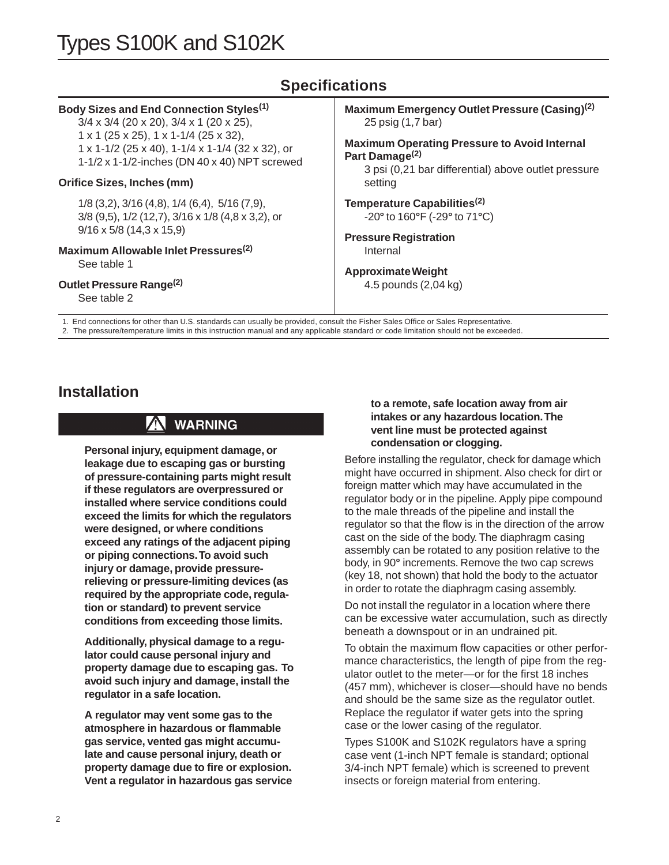# Types S100K and S102K

### **Specifications**

#### **Body Sizes and End Connection Styles(1)**

3/4 x 3/4 (20 x 20), 3/4 x 1 (20 x 25), 1 x 1 (25 x 25), 1 x 1-1/4 (25 x 32), 1 x 1-1/2 (25 x 40), 1-1/4 x 1-1/4 (32 x 32), or 1-1/2 x 1-1/2-inches (DN 40 x 40) NPT screwed

#### **Orifice Sizes, Inches (mm)**

1/8 (3,2), 3/16 (4,8), 1/4 (6,4), 5/16 (7,9), 3/8 (9,5), 1/2 (12,7), 3/16 x 1/8 (4,8 x 3,2), or 9/16 x 5/8 (14,3 x 15,9)

# **Maximum Allowable Inlet Pressures(2)**

See table 1

#### **Outlet Pressure Range(2)**

See table 2

**Maximum Emergency Outlet Pressure (Casing)(2)** 25 psig (1,7 bar)

**Maximum Operating Pressure to Avoid Internal Part Damage(2)**

3 psi (0,21 bar differential) above outlet pressure setting

**Temperature Capabilities(2)** -20**°** to 160**°**F (-29**°** to 71**°**C)

**Pressure Registration** Internal

#### **Approximate Weight**

4.5 pounds (2,04 kg)

1. End connections for other than U.S. standards can usually be provided, consult the Fisher Sales Office or Sales Representative. 2. The pressure/temperature limits in this instruction manual and any applicable standard or code limitation should not be exceeded.

### **Installation**

## **WARNING**

**Personal injury, equipment damage, or leakage due to escaping gas or bursting of pressure-containing parts might result if these regulators are overpressured or installed where service conditions could exceed the limits for which the regulators were designed, or where conditions exceed any ratings of the adjacent piping or piping connections. To avoid such injury or damage, provide pressurerelieving or pressure-limiting devices (as required by the appropriate code, regulation or standard) to prevent service conditions from exceeding those limits.**

**Additionally, physical damage to a regulator could cause personal injury and property damage due to escaping gas. To avoid such injury and damage, install the regulator in a safe location.**

**A regulator may vent some gas to the atmosphere in hazardous or flammable gas service, vented gas might accumulate and cause personal injury, death or property damage due to fire or explosion. Vent a regulator in hazardous gas service**

#### **to a remote, safe location away from air intakes or any hazardous location. The vent line must be protected against condensation or clogging.**

Before installing the regulator, check for damage which might have occurred in shipment. Also check for dirt or foreign matter which may have accumulated in the regulator body or in the pipeline. Apply pipe compound to the male threads of the pipeline and install the regulator so that the flow is in the direction of the arrow cast on the side of the body. The diaphragm casing assembly can be rotated to any position relative to the body, in 90**°** increments. Remove the two cap screws (key 18, not shown) that hold the body to the actuator in order to rotate the diaphragm casing assembly.

Do not install the regulator in a location where there can be excessive water accumulation, such as directly beneath a downspout or in an undrained pit.

To obtain the maximum flow capacities or other performance characteristics, the length of pipe from the regulator outlet to the meter—or for the first 18 inches (457 mm), whichever is closer—should have no bends and should be the same size as the regulator outlet. Replace the regulator if water gets into the spring case or the lower casing of the regulator.

Types S100K and S102K regulators have a spring case vent (1-inch NPT female is standard; optional 3/4-inch NPT female) which is screened to prevent insects or foreign material from entering.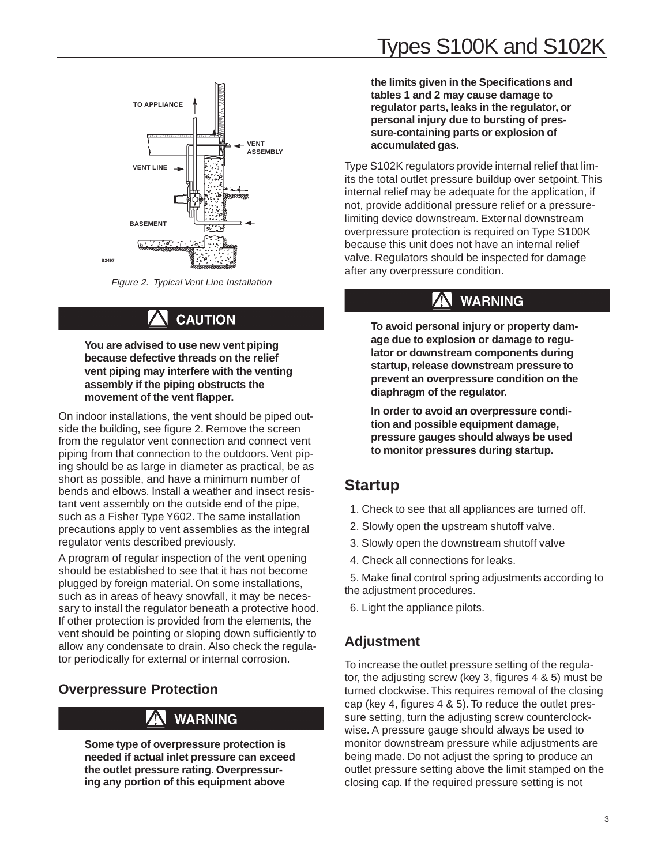

Figure 2. Typical Vent Line Installation

# **CAUTION**

**You are advised to use new vent piping because defective threads on the relief vent piping may interfere with the venting assembly if the piping obstructs the movement of the vent flapper.**

On indoor installations, the vent should be piped outside the building, see figure 2. Remove the screen from the regulator vent connection and connect vent piping from that connection to the outdoors. Vent piping should be as large in diameter as practical, be as short as possible, and have a minimum number of bends and elbows. Install a weather and insect resistant vent assembly on the outside end of the pipe, such as a Fisher Type Y602. The same installation precautions apply to vent assemblies as the integral regulator vents described previously.

A program of regular inspection of the vent opening should be established to see that it has not become plugged by foreign material. On some installations, such as in areas of heavy snowfall, it may be necessary to install the regulator beneath a protective hood. If other protection is provided from the elements, the vent should be pointing or sloping down sufficiently to allow any condensate to drain. Also check the regulator periodically for external or internal corrosion.

#### **Overpressure Protection**

### **WARNING**

**Some type of overpressure protection is needed if actual inlet pressure can exceed the outlet pressure rating. Overpressuring any portion of this equipment above**

**the limits given in the Specifications and tables 1 and 2 may cause damage to regulator parts, leaks in the regulator, or personal injury due to bursting of pressure-containing parts or explosion of accumulated gas.**

Type S102K regulators provide internal relief that limits the total outlet pressure buildup over setpoint. This internal relief may be adequate for the application, if not, provide additional pressure relief or a pressurelimiting device downstream. External downstream overpressure protection is required on Type S100K because this unit does not have an internal relief valve. Regulators should be inspected for damage after any overpressure condition.

# **WARNING**

**To avoid personal injury or property damage due to explosion or damage to regulator or downstream components during startup, release downstream pressure to prevent an overpressure condition on the diaphragm of the regulator.**

**In order to avoid an overpressure condition and possible equipment damage, pressure gauges should always be used to monitor pressures during startup.**

### **Startup**

- 1. Check to see that all appliances are turned off.
- 2. Slowly open the upstream shutoff valve.
- 3. Slowly open the downstream shutoff valve
- 4. Check all connections for leaks.
- 5. Make final control spring adjustments according to the adjustment procedures.
- 6. Light the appliance pilots.

## **Adjustment**

To increase the outlet pressure setting of the regulator, the adjusting screw (key 3, figures 4 & 5) must be turned clockwise. This requires removal of the closing cap (key 4, figures 4 & 5). To reduce the outlet pressure setting, turn the adjusting screw counterclockwise. A pressure gauge should always be used to monitor downstream pressure while adjustments are being made. Do not adjust the spring to produce an outlet pressure setting above the limit stamped on the closing cap. If the required pressure setting is not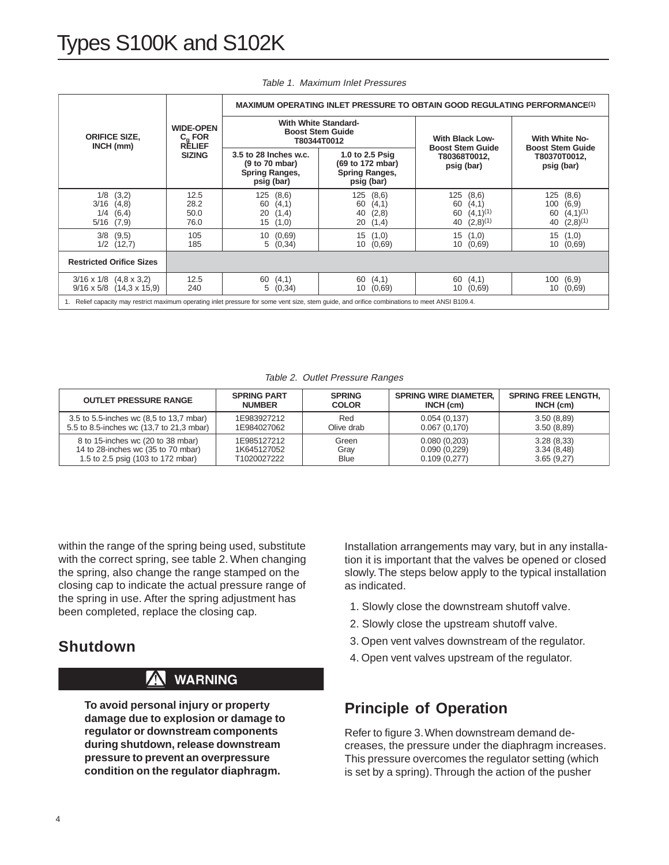|                                                                                                                                             | <b>WIDE-OPEN</b><br>$C_{\alpha}$ FOR<br><b>RÉLIEF</b><br><b>SIZING</b> | <b>MAXIMUM OPERATING INLET PRESSURE TO OBTAIN GOOD REGULATING PERFORMANCE(1)</b> |                                                                     |                                                                           |                                                                            |  |
|---------------------------------------------------------------------------------------------------------------------------------------------|------------------------------------------------------------------------|----------------------------------------------------------------------------------|---------------------------------------------------------------------|---------------------------------------------------------------------------|----------------------------------------------------------------------------|--|
| <b>ORIFICE SIZE,</b><br>INCH (mm)                                                                                                           |                                                                        | <b>With White Standard-</b><br><b>Boost Stem Guide</b><br>T80344T0012            |                                                                     | <b>With Black Low-</b>                                                    | <b>With White No-</b>                                                      |  |
|                                                                                                                                             |                                                                        | 3.5 to 28 Inches w.c.<br>(9 to 70 mbar)<br>Spring Ranges,<br>psig (bar)          | 1.0 to 2.5 Psig<br>(69 to 172 mbar)<br>Spring Ranges,<br>psig (bar) | <b>Boost Stem Guide</b><br>T80368T0012,<br>psig (bar)                     | <b>Boost Stem Guide</b><br>T80370T0012,<br>psig (bar)                      |  |
| 1/8<br>(3,2)<br>$3/16$ $(4,8)$<br>1/4<br>(6, 4)<br>$5/16$ $(7,9)$                                                                           | 12.5<br>28.2<br>50.0<br>76.0                                           | 125(8,6)<br>60<br>(4,1)<br>20<br>(1,4)<br>15(1,0)                                | 125<br>(8,6)<br>(4,1)<br>60<br>(2,8)<br>40<br>20<br>(1,4)           | 125<br>(8,6)<br>(4,1)<br>60<br>$(4,1)^{(1)}$<br>60<br>$(2,8)^{(1)}$<br>40 | 125<br>(8,6)<br>100<br>(6,9)<br>$(4,1)^{(1)}$<br>60<br>$(2,8)^{(1)}$<br>40 |  |
| $3/8$ $(9,5)$<br>$1/2$ $(12,7)$                                                                                                             | 105<br>185                                                             | 10(0,69)<br>5(0,34)                                                              | 15(1,0)<br>(0,69)<br>10                                             | 15(1,0)<br>10 (0,69)                                                      | 15<br>(1,0)<br>10<br>(0,69)                                                |  |
| <b>Restricted Orifice Sizes</b>                                                                                                             |                                                                        |                                                                                  |                                                                     |                                                                           |                                                                            |  |
| $3/16 \times 1/8$ $(4.8 \times 3.2)$<br>$9/16 \times 5/8$ (14,3 x 15,9)                                                                     | 12.5<br>240                                                            | 60(4,1)<br>5(0,34)                                                               | (4,1)<br>60<br>(0.69)<br>10                                         | 60<br>(4,1)<br>10(0,69)                                                   | 100<br>(6,9)<br>10<br>(0,69)                                               |  |
| Relief capacity may restrict maximum operating inlet pressure for some vent size, stem quide, and orifice combinations to meet ANSI B109.4. |                                                                        |                                                                                  |                                                                     |                                                                           |                                                                            |  |

#### Table 1. Maximum Inlet Pressures

Table 2. Outlet Pressure Ranges

| <b>OUTLET PRESSURE RANGE</b>             | <b>SPRING PART</b> | <b>SPRING</b> | <b>SPRING WIRE DIAMETER.</b> | <b>SPRING FREE LENGTH.</b> |
|------------------------------------------|--------------------|---------------|------------------------------|----------------------------|
|                                          | <b>NUMBER</b>      | <b>COLOR</b>  | INCH (cm)                    | INCH (cm)                  |
| 3.5 to 5.5-inches wc (8,5 to 13,7 mbar)  | 1E983927212        | Red           | 0.054(0.137)                 | 3.50(8.89)                 |
| 5.5 to 8.5-inches wc (13.7 to 21.3 mbar) | 1E984027062        | Olive drab    | 0.067(0,170)                 | 3.50(8.89)                 |
| 8 to 15-inches wc (20 to 38 mbar)        | 1E985127212        | Green         | 0.080(0,203)                 | 3.28(8.33)                 |
| 14 to 28-inches wc (35 to 70 mbar)       | 1K645127052        | Gray          | 0.090(0.229)                 | 3.34(8.48)                 |
| 1.5 to 2.5 psig (103 to 172 mbar)        | T1020027222        | <b>Blue</b>   | 0.109(0.277)                 | 3.65(9.27)                 |

within the range of the spring being used, substitute with the correct spring, see table 2. When changing the spring, also change the range stamped on the closing cap to indicate the actual pressure range of the spring in use. After the spring adjustment has been completed, replace the closing cap.

#### **Shutdown**

#### W **WARNING**

**To avoid personal injury or property damage due to explosion or damage to regulator or downstream components during shutdown, release downstream pressure to prevent an overpressure condition on the regulator diaphragm.**

Installation arrangements may vary, but in any installation it is important that the valves be opened or closed slowly. The steps below apply to the typical installation as indicated.

- 1. Slowly close the downstream shutoff valve.
- 2. Slowly close the upstream shutoff valve.
- 3. Open vent valves downstream of the regulator.
- 4. Open vent valves upstream of the regulator.

#### **Principle of Operation**

Refer to figure 3. When downstream demand decreases, the pressure under the diaphragm increases. This pressure overcomes the regulator setting (which is set by a spring). Through the action of the pusher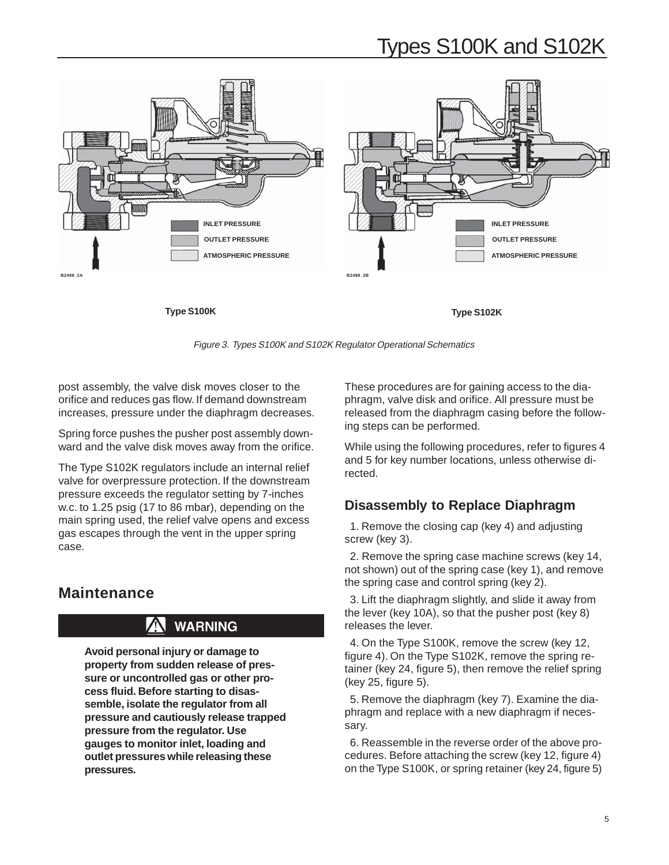# Types S100K and S102K



Figure 3. Types S100K and S102K Regulator Operational Schematics

post assembly, the valve disk moves closer to the orifice and reduces gas flow. If demand downstream increases, pressure under the diaphragm decreases.

Spring force pushes the pusher post assembly downward and the valve disk moves away from the orifice.

The Type S102K regulators include an internal relief valve for overpressure protection. If the downstream pressure exceeds the regulator setting by 7-inches w.c. to 1.25 psig (17 to 86 mbar), depending on the main spring used, the relief valve opens and excess gas escapes through the vent in the upper spring case.

#### **Maintenance**

### **WARNING**

**Avoid personal injury or damage to property from sudden release of pressure or uncontrolled gas or other process fluid. Before starting to disassemble, isolate the regulator from all pressure and cautiously release trapped pressure from the regulator. Use gauges to monitor inlet, loading and outlet pressures while releasing these pressures.**

These procedures are for gaining access to the diaphragm, valve disk and orifice. All pressure must be released from the diaphragm casing before the following steps can be performed.

While using the following procedures, refer to figures 4 and 5 for key number locations, unless otherwise directed.

#### **Disassembly to Replace Diaphragm**

1. Remove the closing cap (key 4) and adjusting screw (key 3).

2. Remove the spring case machine screws (key 14, not shown) out of the spring case (key 1), and remove the spring case and control spring (key 2).

3. Lift the diaphragm slightly, and slide it away from the lever (key 10A), so that the pusher post (key 8) releases the lever.

4. On the Type S100K, remove the screw (key 12, figure 4). On the Type S102K, remove the spring retainer (key 24, figure 5), then remove the relief spring (key 25, figure 5).

5. Remove the diaphragm (key 7). Examine the diaphragm and replace with a new diaphragm if necessary.

6. Reassemble in the reverse order of the above procedures. Before attaching the screw (key 12, figure 4) on the Type S100K, or spring retainer (key 24, figure 5)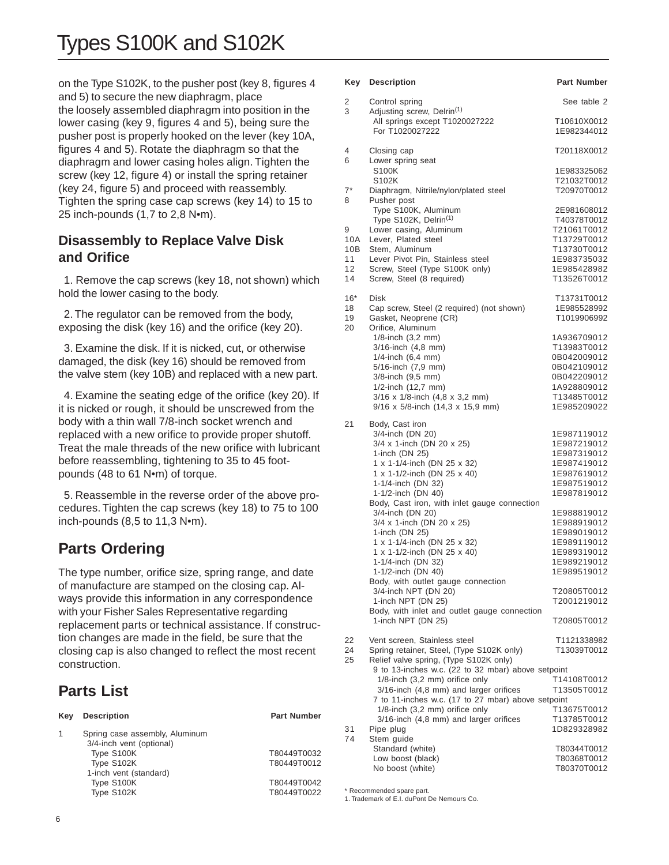on the Type S102K, to the pusher post (key 8, figures 4 and 5) to secure the new diaphragm, place the loosely assembled diaphragm into position in the lower casing (key 9, figures 4 and 5), being sure the pusher post is properly hooked on the lever (key 10A, figures 4 and 5). Rotate the diaphragm so that the diaphragm and lower casing holes align. Tighten the screw (key 12, figure 4) or install the spring retainer (key 24, figure 5) and proceed with reassembly. Tighten the spring case cap screws (key 14) to 15 to 25 inch-pounds (1,7 to 2,8 N•m).

#### **Disassembly to Replace Valve Disk and Orifice**

1. Remove the cap screws (key 18, not shown) which hold the lower casing to the body.

2. The regulator can be removed from the body, exposing the disk (key 16) and the orifice (key 20).

3. Examine the disk. If it is nicked, cut, or otherwise damaged, the disk (key 16) should be removed from the valve stem (key 10B) and replaced with a new part.

4. Examine the seating edge of the orifice (key 20). If it is nicked or rough, it should be unscrewed from the body with a thin wall 7/8-inch socket wrench and replaced with a new orifice to provide proper shutoff. Treat the male threads of the new orifice with lubricant before reassembling, tightening to 35 to 45 footpounds (48 to 61 N•m) of torque.

5. Reassemble in the reverse order of the above procedures. Tighten the cap screws (key 18) to 75 to 100 inch-pounds (8,5 to 11,3 N•m).

## **Parts Ordering**

The type number, orifice size, spring range, and date of manufacture are stamped on the closing cap. Always provide this information in any correspondence with your Fisher Sales Representative regarding replacement parts or technical assistance. If construction changes are made in the field, be sure that the closing cap is also changed to reflect the most recent construction.

## **Parts List**

| Kev | <b>Description</b>                                         | <b>Part Number</b> |
|-----|------------------------------------------------------------|--------------------|
|     | Spring case assembly, Aluminum<br>3/4-inch vent (optional) |                    |
|     | Type S100K                                                 | T80449T0032        |
|     | Type S102K                                                 | T80449T0012        |
|     | 1-inch vent (standard)                                     |                    |
|     | Type S100K                                                 | T80449T0042        |
|     | Type S102K                                                 | T80449T0022        |
|     |                                                            |                    |

|            | Key Description                                                          | <b>Part Number</b>         |
|------------|--------------------------------------------------------------------------|----------------------------|
| 2<br>3     | Control spring<br>Adjusting screw, Delrin <sup>(1)</sup>                 | See table 2                |
|            | All springs except T1020027222<br>For T1020027222                        | T10610X0012<br>1E982344012 |
| 4<br>6     | Closing cap<br>Lower spring seat                                         | T20118X0012                |
|            | S100K                                                                    | 1E983325062                |
|            | S102K                                                                    | T21032T0012                |
| $7^*$<br>8 | Diaphragm, Nitrile/nylon/plated steel<br>Pusher post                     | T20970T0012                |
|            | Type S100K, Aluminum                                                     | 2E981608012                |
|            | Type S102K, Delrin <sup>(1)</sup>                                        | T40378T0012                |
| 9          | Lower casing, Aluminum                                                   | T21061T0012                |
| 10A        | Lever, Plated steel                                                      | T13729T0012                |
| 10B        | Stem, Aluminum                                                           | T13730T0012                |
| 11         | Lever Pivot Pin, Stainless steel                                         | 1E983735032                |
| 12<br>14   | Screw, Steel (Type S100K only)<br>Screw, Steel (8 required)              | 1E985428982<br>T13526T0012 |
|            |                                                                          |                            |
| 16*<br>18  | Disk<br>Cap screw, Steel (2 required) (not shown)                        | T13731T0012<br>1E985528992 |
| 19         | Gasket, Neoprene (CR)                                                    | T1019906992                |
| 20         | Orifice, Aluminum                                                        |                            |
|            | 1/8-inch (3,2 mm)                                                        | 1A936709012                |
|            | 3/16-inch (4,8 mm)                                                       | T13983T0012                |
|            | 1/4-inch (6,4 mm)                                                        | 0B042009012                |
|            | 5/16-inch (7,9 mm)                                                       | 0B042109012                |
|            | 3/8-inch (9,5 mm)                                                        | 0B042209012                |
|            | 1/2-inch (12,7 mm)<br>3/16 x 1/8-inch (4,8 x 3,2 mm)                     | 1A928809012<br>T13485T0012 |
|            | 9/16 x 5/8-inch (14,3 x 15,9 mm)                                         | 1E985209022                |
| 21         | Body, Cast iron                                                          |                            |
|            | 3/4-inch (DN 20)                                                         | 1E987119012                |
|            | 3/4 x 1-inch (DN 20 x 25)                                                | 1E987219012                |
|            | 1-inch (DN 25)                                                           | 1E987319012                |
|            | 1 x 1-1/4-inch (DN 25 x 32)                                              | 1E987419012                |
|            | 1 x 1-1/2-inch (DN 25 x 40)                                              | 1E987619012                |
|            | 1-1/4-inch (DN 32)                                                       | 1E987519012                |
|            | 1-1/2-inch (DN 40)                                                       | 1E987819012                |
|            | Body, Cast iron, with inlet gauge connection                             |                            |
|            | 3/4-inch (DN 20)<br>3/4 x 1-inch (DN 20 x 25)                            | 1E988819012<br>1E988919012 |
|            | 1-inch (DN 25)                                                           | 1E989019012                |
|            | 1 x 1-1/4-inch (DN 25 x 32)                                              | 1E989119012                |
|            | 1 x 1-1/2-inch (DN 25 x 40)                                              | 1E989319012                |
|            | 1-1/4-inch (DN 32)                                                       | 1E989219012                |
|            | 1-1/2-inch (DN 40)                                                       | 1E989519012                |
|            | Body, with outlet gauge connection                                       |                            |
|            | 3/4-inch NPT (DN 20)                                                     | T20805T0012                |
|            | 1-inch NPT (DN 25)<br>Body, with inlet and outlet gauge connection       | T2001219012                |
|            | 1-inch NPT (DN 25)                                                       | T20805T0012                |
| 22         | Vent screen, Stainless steel                                             | T1121338982                |
| 24         | Spring retainer, Steel, (Type S102K only)                                | T13039T0012                |
| 25         | Relief valve spring, (Type S102K only)                                   |                            |
|            | 9 to 13-inches w.c. (22 to 32 mbar) above setpoint                       |                            |
|            | 1/8-inch (3,2 mm) orifice only                                           | T14108T0012                |
|            | 3/16-inch (4,8 mm) and larger orifices                                   | T13505T0012                |
|            | 7 to 11-inches w.c. (17 to 27 mbar) above setpoint                       |                            |
|            | 1/8-inch (3,2 mm) orifice only<br>3/16-inch (4,8 mm) and larger orifices | T13675T0012                |
| 31         | Pipe plug                                                                | T13785T0012<br>1D829328982 |
| 74         | Stem guide                                                               |                            |
|            | Standard (white)                                                         | T80344T0012                |
|            | Low boost (black)                                                        | T80368T0012                |

No boost (white) T80370T0012

\* Recommended spare part.

1. Trademark of E.I. duPont De Nemours Co.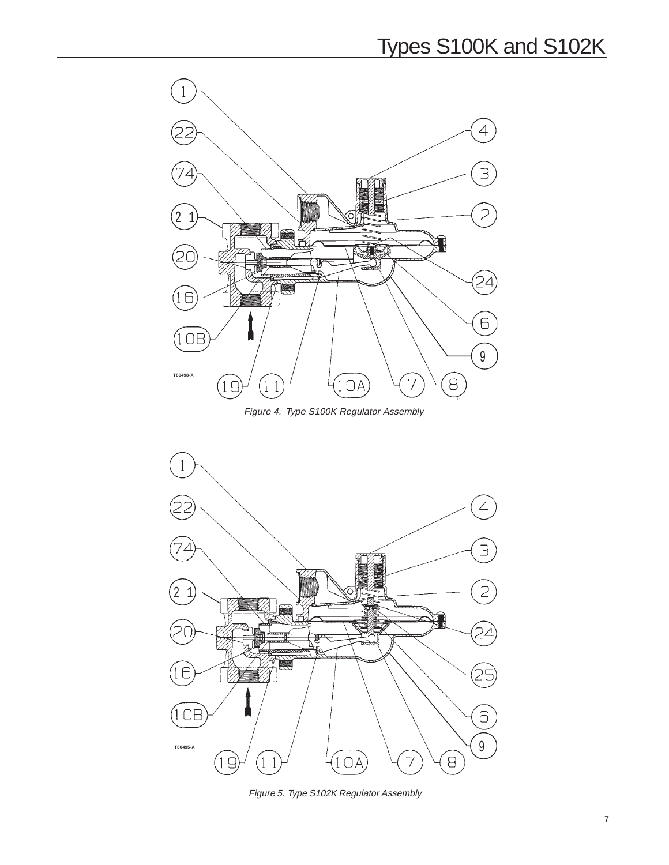

Figure 4. Type S100K Regulator Assembly



Figure 5. Type S102K Regulator Assembly